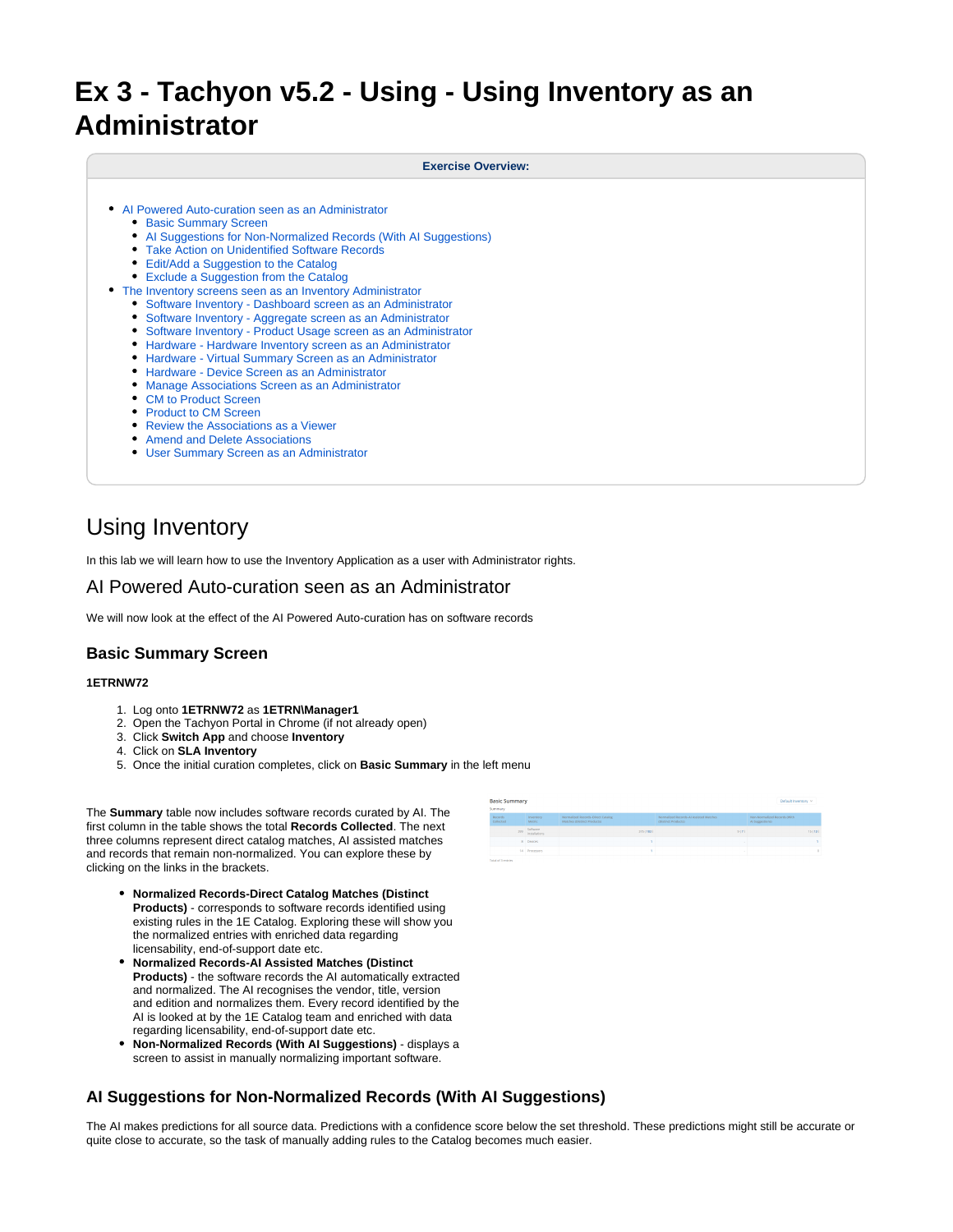# **Ex 3 - Tachyon v5.2 - Using - Using Inventory as an Administrator**

#### **Exercise Overview:**

- [AI Powered Auto-curation seen as an Administrator](#page-0-0)
	- **[Basic Summary Screen](#page-0-1)**
	- [AI Suggestions for Non-Normalized Records \(With AI Suggestions\)](#page-0-2)
	- [Take Action on Unidentified Software Records](#page-1-0)
	- [Edit/Add a Suggestion to the Catalog](#page-2-0)
	- [Exclude a Suggestion from the Catalog](#page-2-1)
- [The Inventory screens seen as an Inventory Administrator](#page-2-2)
	- [Software Inventory Dashboard screen as an Administrator](#page-2-3)
	- [Software Inventory Aggregate screen as an Administrator](#page-2-4)
	- [Software Inventory Product Usage screen as an Administrator](#page-3-0)
	- [Hardware Hardware Inventory screen as an Administrator](#page-3-1)
	- [Hardware Virtual Summary Screen as an Administrator](#page-3-2)
	- [Hardware Device Screen as an Administrator](#page-3-3)
	- [Manage Associations Screen as an Administrator](#page-3-4)
	- [CM to Product Screen](#page-3-5)
	- [Product to CM Screen](#page-4-0)
	- [Review the Associations as a Viewer](#page-4-1)
	- [Amend and Delete Associations](#page-5-0)
	- [User Summary Screen as an Administrator](#page-5-1)

## Using Inventory

In this lab we will learn how to use the Inventory Application as a user with Administrator rights.

## <span id="page-0-0"></span>AI Powered Auto-curation seen as an Administrator

We will now look at the effect of the AI Powered Auto-curation has on software records

## <span id="page-0-1"></span>**Basic Summary Screen**

#### **1ETRNW72**

- 1. Log onto **1ETRNW72** as **1ETRN\Manager1**
- 2. Open the Tachyon Portal in Chrome (if not already open)
- 3. Click **Switch App** and choose **Inventory**
- 4. Click on **SLA Inventory**
- 5. Once the initial curation completes, click on **Basic Summary** in the left menu

The **Summary** table now includes software records curated by AI. The first column in the table shows the total **Records Collected**. The next three columns represent direct catalog matches, AI assisted matches and records that remain non-normalized. You can explore these by clicking on the links in the brackets.

- **Normalized Records-Direct Catalog Matches (Distinct Products)** - corresponds to software records identified using existing rules in the 1E Catalog. Exploring these will show you the normalized entries with enriched data regarding licensability, end-of-support date etc.
- **Normalized Records-AI Assisted Matches (Distinct Products)** - the software records the AI automatically extracted and normalized. The AI recognises the vendor, title, version and edition and normalizes them. Every record identified by the AI is looked at by the 1E Catalog team and enriched with data regarding licensability, end-of-support date etc.
- **Non-Normalized Records (With AI Suggestions)**  displays a screen to assist in manually normalizing important software.

| <b>Basic Summary</b><br>Default Inventory V |                      |                           |                                                                  |                                                              |                                                 |
|---------------------------------------------|----------------------|---------------------------|------------------------------------------------------------------|--------------------------------------------------------------|-------------------------------------------------|
|                                             | Summary              |                           |                                                                  |                                                              |                                                 |
|                                             | Records<br>Collected | Inventory<br>Metric       | Normalized Records-Direct Catalog<br>Matches (Distinct Products) | Normalized Records-Al Antited Matches<br>(Distinct Products) | Non-Normalized Records (With<br>Al Supportions) |
|                                             | 222                  | Software<br>installations | 375 (183)                                                        | 9173                                                         | 15 ( 13 )                                       |
|                                             |                      | 8 Devices                 |                                                                  | $\sim$                                                       |                                                 |
|                                             |                      | 14 Processors             |                                                                  |                                                              | $\alpha$                                        |
|                                             | Total of 3 embies    |                           |                                                                  |                                                              |                                                 |

## <span id="page-0-2"></span>**AI Suggestions for Non-Normalized Records (With AI Suggestions)**

The AI makes predictions for all source data. Predictions with a confidence score below the set threshold. These predictions might still be accurate or quite close to accurate, so the task of manually adding rules to the Catalog becomes much easier.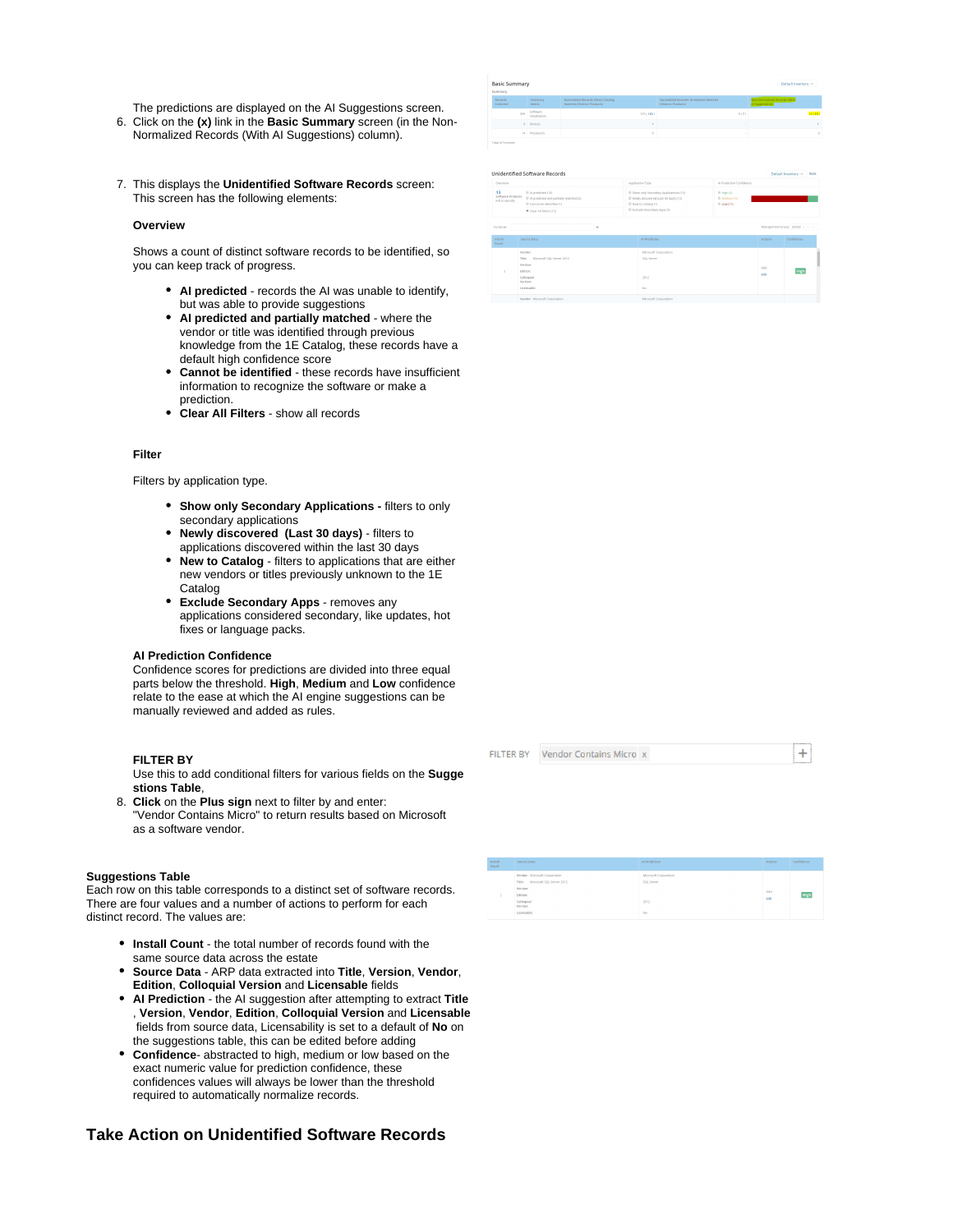The predictions are displayed on the AI Suggestions screen.

- 6. Click on the **(x)** link in the **Basic Summary** screen (in the Non-Normalized Records (With AI Suggestions) column).
- 7. This displays the **Unidentified Software Records** screen: This screen has the following elements:

#### **Overview**

Shows a count of distinct software records to be identified, so you can keep track of progress.

- **AI predicted**  records the AI was unable to identify, but was able to provide suggestions
- **AI predicted and partially matched** where the vendor or title was identified through previous knowledge from the 1E Catalog, these records have a default high confidence score
- **Cannot be identified** these records have insufficient information to recognize the software or make a prediction.
- **Clear All Filters**  show all records

#### **Filter**

Filters by application type.

- **Show only Secondary Applications filters to only** secondary applications
- **Newly discovered (Last 30 days)** filters to applications discovered within the last 30 days
- **New to Catalog** filters to applications that are either new vendors or titles previously unknown to the 1E Catalog
- **Exclude Secondary Apps** removes any applications considered secondary, like updates, hot fixes or language packs.

#### **AI Prediction Confidence**

Confidence scores for predictions are divided into three equal parts below the threshold. **High**, **Medium** and **Low** confidence relate to the ease at which the AI engine suggestions can be manually reviewed and added as rules.

#### **FILTER BY**

Use this to add conditional filters for various fields on the **Sugge stions Table**,

8. **Click** on the **Plus sign** next to filter by and enter: "Vendor Contains Micro" to return results based on Microsoft as a software vendor.

#### **Suggestions Table**

Each row on this table corresponds to a distinct set of software records. There are four values and a number of actions to perform for each distinct record. The values are:

- **Install Count** the total number of records found with the same source data across the estate
- **Source Data** ARP data extracted into **Title**, **Version**, **Vendor**, **Edition**, **Colloquial Version** and **Licensable** fields
- **AI Prediction** the AI suggestion after attempting to extract **Title** , **Version**, **Vendor**, **Edition**, **Colloquial Version** and **Licensable** fields from source data, Licensability is set to a default of **No** on the suggestions table, this can be edited before adding
- **Confidence** abstracted to high, medium or low based on the exact numeric value for prediction confidence, these confidences values will always be lower than the threshold required to automatically normalize records.

## <span id="page-1-0"></span>**Take Action on Unidentified Software Records**

| <b>Basic Summary</b><br>Summary. |                           |                                                                  |                                                               |                                                 |  |  |
|----------------------------------|---------------------------|------------------------------------------------------------------|---------------------------------------------------------------|-------------------------------------------------|--|--|
| Records<br>Collected             | Inventory<br>Metric       | Normalized Records-Direct Catalog<br>Matches (Distinct Products) | Normalized Records-Al Antisted Matches<br>(Distinct Products) | Non-Normalized Records (With<br>At Suggestions) |  |  |
| 399                              | Software<br>installations | 37511031                                                         | 9(7)                                                          | 151133                                          |  |  |
|                                  | 8 Devices                 |                                                                  |                                                               |                                                 |  |  |
|                                  | 14 Processors             |                                                                  |                                                               | ٠                                               |  |  |
|                                  |                           |                                                                  |                                                               |                                                 |  |  |

**Unidentified Software Records** 

| .                                           |                                                                                                                                        | .                                                                                                                                                          | .                                          |                     |                             |  |
|---------------------------------------------|----------------------------------------------------------------------------------------------------------------------------------------|------------------------------------------------------------------------------------------------------------------------------------------------------------|--------------------------------------------|---------------------|-----------------------------|--|
| 13<br>Seftware Products<br>left to identify | © Al predicted (10)<br><sup>(i)</sup> Al predicted and partially matched (2)<br>C cannot be identified (1)<br>* Clear All Filters (13) | El Show only Secondary Applications (10)<br><sup>(2)</sup> Newly discovered (Last 30 days) (13)<br>El New to Catalog (1)<br>Ill Exclude Secondary Apps (3) | $@$ High (2)<br>@ Medium (0)<br>© Low (11) |                     |                             |  |
| <b>FATER RY</b>                             | ٠                                                                                                                                      |                                                                                                                                                            |                                            |                     | Management Group Global ~ - |  |
| <b>Install</b><br>Courst                    | Source Data                                                                                                                            | Al Prediction                                                                                                                                              |                                            | <b>Actions</b>      | Confidence                  |  |
|                                             | Versdor:<br>Title: Microsoft SQL Server 2012<br>version:<br>Editions<br>Colloguial<br><b>Version:</b><br>Licensable:                   | Microsoft Corporation<br>SOL Server<br>2012<br>No.                                                                                                         |                                            | 4.01<br><b>DOM:</b> | High                        |  |
|                                             | Vendor: Microsoft Corporation                                                                                                          | Microsoft Corporation                                                                                                                                      |                                            |                     |                             |  |

FILTER BY Vendor Contains Micro x

 $+$ 

High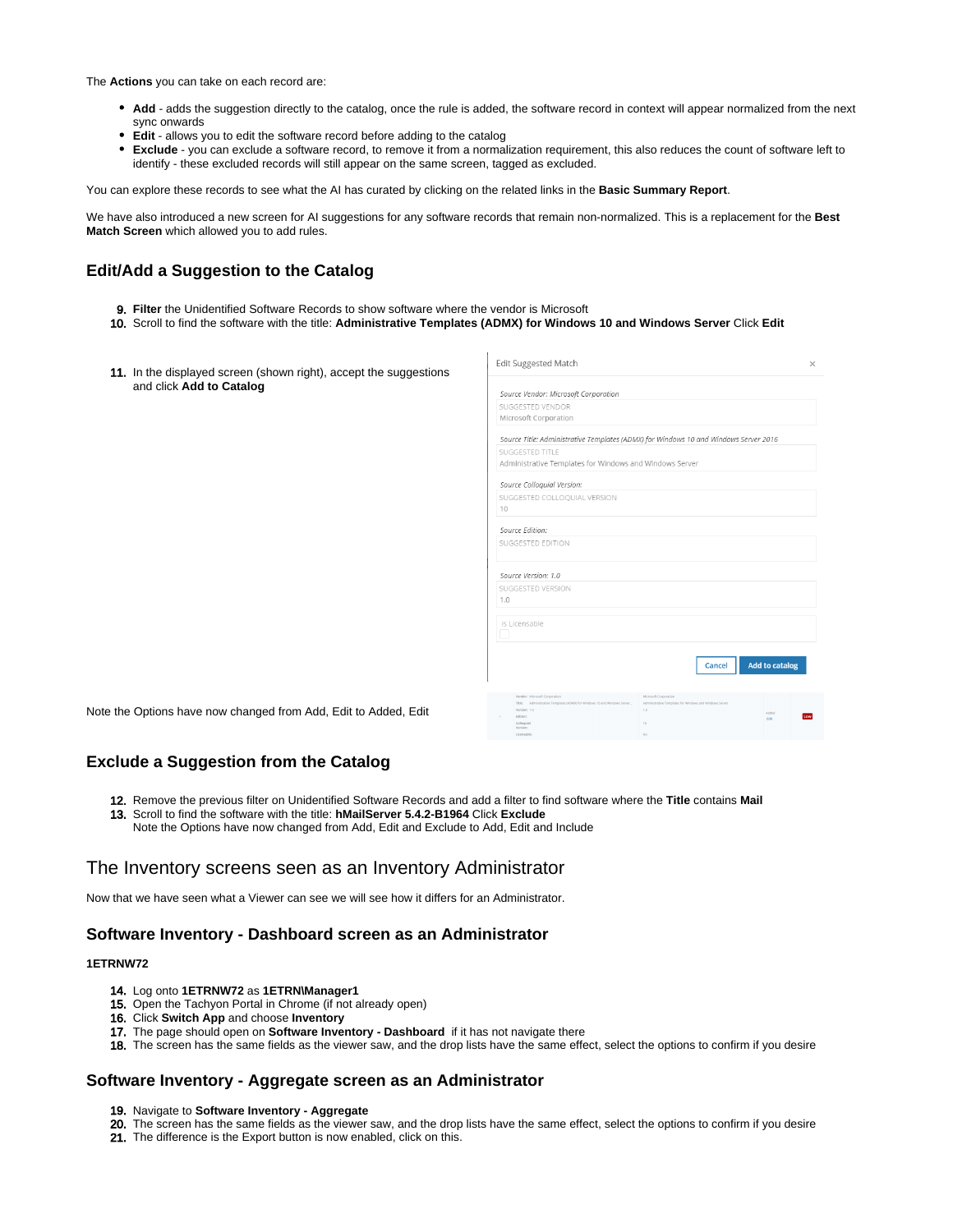The **Actions** you can take on each record are:

- **Add** adds the suggestion directly to the catalog, once the rule is added, the software record in context will appear normalized from the next sync onwards
- **Edit** allows you to edit the software record before adding to the catalog
- **Exclude** you can exclude a software record, to remove it from a normalization requirement, this also reduces the count of software left to identify - these excluded records will still appear on the same screen, tagged as excluded.

You can explore these records to see what the AI has curated by clicking on the related links in the **Basic Summary Report**.

We have also introduced a new screen for AI suggestions for any software records that remain non-normalized. This is a replacement for the **Best Match Screen** which allowed you to add rules.

## <span id="page-2-0"></span>**Edit/Add a Suggestion to the Catalog**

- 9. **Filter** the Unidentified Software Records to show software where the vendor is Microsoft
- 10. Scroll to find the software with the title: **Administrative Templates (ADMX) for Windows 10 and Windows Server** Click **Edit**
- 11. In the displayed screen (shown right), accept the suggestions and click **Add to Catalog**

| Edit Suggested Match                                                                      |                                                                | ×                     |  |  |  |  |
|-------------------------------------------------------------------------------------------|----------------------------------------------------------------|-----------------------|--|--|--|--|
| Source Vendor: Microsoft Corporation                                                      |                                                                |                       |  |  |  |  |
| SUGGESTED VENDOR                                                                          |                                                                |                       |  |  |  |  |
| Microsoft Corporation                                                                     |                                                                |                       |  |  |  |  |
|                                                                                           |                                                                |                       |  |  |  |  |
| Source Title: Administrative Templates (ADMX) for Windows 10 and Windows Server 2016      |                                                                |                       |  |  |  |  |
| SUGGESTED TITLE                                                                           |                                                                |                       |  |  |  |  |
| Administrative Templates for Windows and Windows Server                                   |                                                                |                       |  |  |  |  |
| Source Colloquial Version:                                                                |                                                                |                       |  |  |  |  |
| SUGGESTED COLLOQUIAL VERSION                                                              |                                                                |                       |  |  |  |  |
| 10                                                                                        |                                                                |                       |  |  |  |  |
| Source Edition:                                                                           |                                                                |                       |  |  |  |  |
| SUGGESTED EDITION                                                                         |                                                                |                       |  |  |  |  |
|                                                                                           |                                                                |                       |  |  |  |  |
| Source Version: 1.0                                                                       |                                                                |                       |  |  |  |  |
| SUGGESTED VERSION                                                                         |                                                                |                       |  |  |  |  |
| 1.0                                                                                       |                                                                |                       |  |  |  |  |
|                                                                                           |                                                                |                       |  |  |  |  |
| Is Licensable                                                                             |                                                                |                       |  |  |  |  |
|                                                                                           |                                                                |                       |  |  |  |  |
|                                                                                           |                                                                |                       |  |  |  |  |
|                                                                                           | Cancel                                                         | <b>Add to catalog</b> |  |  |  |  |
|                                                                                           |                                                                |                       |  |  |  |  |
| Vendor: Microsoft Corporation                                                             | Microsoft Comeration                                           |                       |  |  |  |  |
| Title: Administrative Templates (ADMX) for Windows 10 and Windows Server.<br>Version: 1.0 | Administrative Templates for Windows and Windows Server<br>5.0 |                       |  |  |  |  |
| Edition:<br>Colloquial                                                                    | 10                                                             | Added<br><b>Fift</b>  |  |  |  |  |
| <b>Wertlass</b><br>Licensable:                                                            | No                                                             |                       |  |  |  |  |
|                                                                                           |                                                                |                       |  |  |  |  |

Note the Options have now changed from Add, Edit to Added, Edit

## <span id="page-2-1"></span>**Exclude a Suggestion from the Catalog**

- 12. Remove the previous filter on Unidentified Software Records and add a filter to find software where the **Title** contains **Mail**
- 13. Scroll to find the software with the title: **hMailServer 5.4.2-B1964** Click **Exclude**
	- Note the Options have now changed from Add, Edit and Exclude to Add, Edit and Include

## <span id="page-2-2"></span>The Inventory screens seen as an Inventory Administrator

Now that we have seen what a Viewer can see we will see how it differs for an Administrator.

## <span id="page-2-3"></span>**Software Inventory - Dashboard screen as an Administrator**

#### **1ETRNW72**

- 14. Log onto **1ETRNW72** as **1ETRN\Manager1**
- 15. Open the Tachyon Portal in Chrome (if not already open)
- 16. Click **Switch App** and choose **Inventory**
- 17. The page should open on **Software Inventory Dashboard** if it has not navigate there
- 18. The screen has the same fields as the viewer saw, and the drop lists have the same effect, select the options to confirm if you desire

#### <span id="page-2-4"></span>**Software Inventory - Aggregate screen as an Administrator**

- 19. Navigate to **Software Inventory Aggregate**
- 20. The screen has the same fields as the viewer saw, and the drop lists have the same effect, select the options to confirm if you desire
- 21. The difference is the Export button is now enabled, click on this.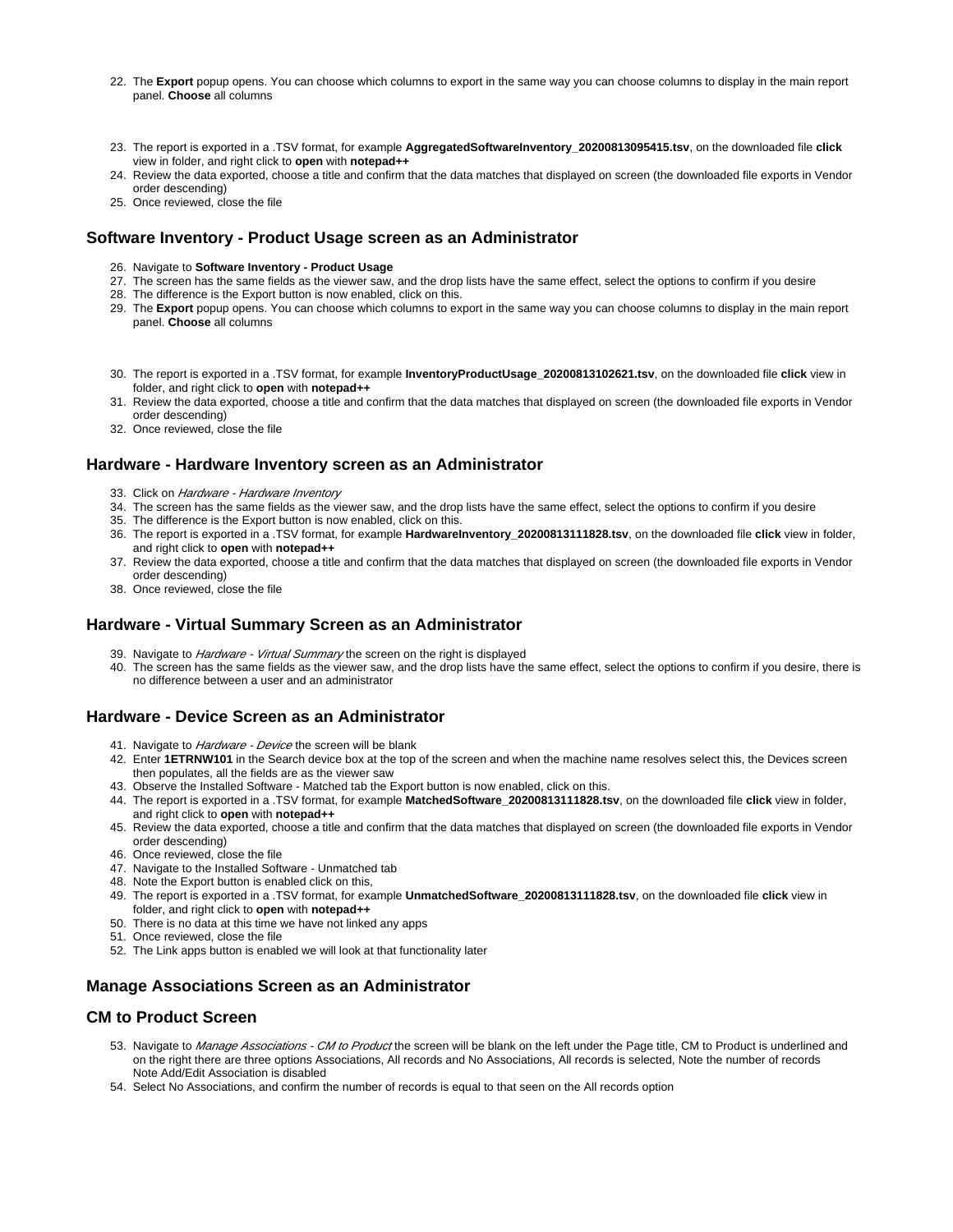- 22. The **Export** popup opens. You can choose which columns to export in the same way you can choose columns to display in the main report panel. **Choose** all columns
- 23. The report is exported in a .TSV format, for example **AggregatedSoftwareInventory\_20200813095415.tsv**, on the downloaded file **click** view in folder, and right click to **open** with **notepad++**
- 24. Review the data exported, choose a title and confirm that the data matches that displayed on screen (the downloaded file exports in Vendor order descending)
- 25. Once reviewed, close the file

## <span id="page-3-0"></span>**Software Inventory - Product Usage screen as an Administrator**

- 26. Navigate to **Software Inventory Product Usage**
- 27. The screen has the same fields as the viewer saw, and the drop lists have the same effect, select the options to confirm if you desire
- 28. The difference is the Export button is now enabled, click on this.
- 29. The **Export** popup opens. You can choose which columns to export in the same way you can choose columns to display in the main report panel. **Choose** all columns
- 30. The report is exported in a .TSV format, for example **InventoryProductUsage\_20200813102621.tsv**, on the downloaded file **click** view in folder, and right click to **open** with **notepad++**
- 31. Review the data exported, choose a title and confirm that the data matches that displayed on screen (the downloaded file exports in Vendor order descending)
- 32. Once reviewed, close the file

#### <span id="page-3-1"></span>**Hardware - Hardware Inventory screen as an Administrator**

- 33. Click on *Hardware Hardware Inventory*
- 34. The screen has the same fields as the viewer saw, and the drop lists have the same effect, select the options to confirm if you desire
- 35. The difference is the Export button is now enabled, click on this.
- 36. The report is exported in a .TSV format, for example **HardwareInventory\_20200813111828.tsv**, on the downloaded file **click** view in folder, and right click to **open** with **notepad++**
- 37. Review the data exported, choose a title and confirm that the data matches that displayed on screen (the downloaded file exports in Vendor order descending)
- 38. Once reviewed, close the file

## <span id="page-3-2"></span>**Hardware - Virtual Summary Screen as an Administrator**

- 39. Navigate to *Hardware Virtual Summary* the screen on the right is displayed
- 40. The screen has the same fields as the viewer saw, and the drop lists have the same effect, select the options to confirm if you desire, there is no difference between a user and an administrator

## <span id="page-3-3"></span>**Hardware - Device Screen as an Administrator**

- 41. Navigate to *Hardware Device* the screen will be blank
- 42. Enter **1ETRNW101** in the Search device box at the top of the screen and when the machine name resolves select this, the Devices screen then populates, all the fields are as the viewer saw
- 43. Observe the Installed Software Matched tab the Export button is now enabled, click on this.
- 44. The report is exported in a .TSV format, for example **MatchedSoftware\_20200813111828.tsv**, on the downloaded file **click** view in folder, and right click to **open** with **notepad++**
- 45. Review the data exported, choose a title and confirm that the data matches that displayed on screen (the downloaded file exports in Vendor order descending)
- 46. Once reviewed, close the file
- 47. Navigate to the Installed Software Unmatched tab
- 48. Note the Export button is enabled click on this,
- 49. The report is exported in a .TSV format, for example **UnmatchedSoftware\_20200813111828.tsv**, on the downloaded file **click** view in folder, and right click to **open** with **notepad++**
- 50. There is no data at this time we have not linked any apps
- 51. Once reviewed, close the file
- 52. The Link apps button is enabled we will look at that functionality later

## <span id="page-3-4"></span>**Manage Associations Screen as an Administrator**

## <span id="page-3-5"></span>**CM to Product Screen**

- 53. Navigate to *Manage Associations CM to Product* the screen will be blank on the left under the Page title, CM to Product is underlined and on the right there are three options Associations, All records and No Associations, All records is selected, Note the number of records Note Add/Edit Association is disabled
- 54. Select No Associations, and confirm the number of records is equal to that seen on the All records option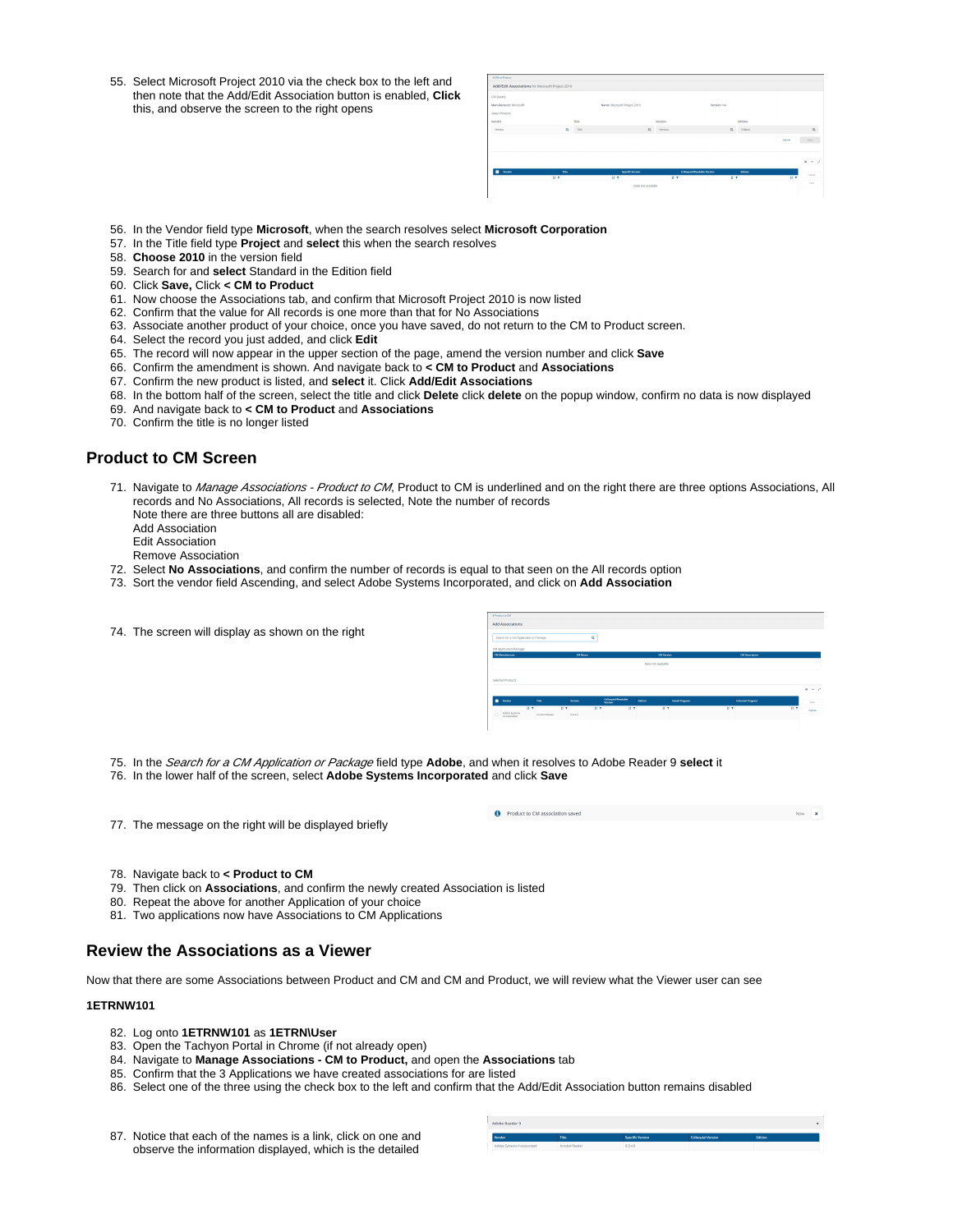55. Select Microsoft Project 2010 via the check box to the left and then note that the Add/Edit Association button is enabled, **Click** this, and observe the screen to the right opens

| Manufacturer: Microsoft<br>Name: Microsoft Project 2010<br>Versige: NA<br>Select Product<br>Title<br>Edition<br>Vendor<br>Version<br>$\alpha$<br>$\alpha$<br>$\alpha$<br>Title<br>cation<br>vesen<br>Vehöst<br><b>B</b> Vendor<br>Ticky<br>Specific Version<br>Collegalat/Readable Version<br>Edition<br>IF T<br>日本<br><b>IF Y</b><br>耳下 | $\overline{\mathbb{H}}$ |
|------------------------------------------------------------------------------------------------------------------------------------------------------------------------------------------------------------------------------------------------------------------------------------------------------------------------------------------|-------------------------|
|                                                                                                                                                                                                                                                                                                                                          |                         |
|                                                                                                                                                                                                                                                                                                                                          |                         |
|                                                                                                                                                                                                                                                                                                                                          |                         |
|                                                                                                                                                                                                                                                                                                                                          | Careel                  |
|                                                                                                                                                                                                                                                                                                                                          |                         |
|                                                                                                                                                                                                                                                                                                                                          |                         |
|                                                                                                                                                                                                                                                                                                                                          |                         |
|                                                                                                                                                                                                                                                                                                                                          |                         |
| <b>CM Details</b>                                                                                                                                                                                                                                                                                                                        |                         |
| Add/Edit Associations for Microsoft Project 2010                                                                                                                                                                                                                                                                                         |                         |

- 56. In the Vendor field type **Microsoft**, when the search resolves select **Microsoft Corporation**
- 57. In the Title field type **Project** and **select** this when the search resolves
- 58. **Choose 2010** in the version field
- 59. Search for and **select** Standard in the Edition field
- 60. Click **Save,** Click **< CM to Product**
- 61. Now choose the Associations tab, and confirm that Microsoft Project 2010 is now listed
- 62. Confirm that the value for All records is one more than that for No Associations
- 63. Associate another product of your choice, once you have saved, do not return to the CM to Product screen.
- 64. Select the record you just added, and click **Edit**
- 65. The record will now appear in the upper section of the page, amend the version number and click **Save**
- 66. Confirm the amendment is shown. And navigate back to **< CM to Product** and **Associations**
- 67. Confirm the new product is listed, and **select** it. Click **Add/Edit Associations**
- 68. In the bottom half of the screen, select the title and click **Delete** click **delete** on the popup window, confirm no data is now displayed
- 69. And navigate back to **< CM to Product** and **Associations**
- 70. Confirm the title is no longer listed

#### <span id="page-4-0"></span>**Product to CM Screen**

- 71. Navigate to *Manage Associations Product to CM*, Product to CM is underlined and on the right there are three options Associations, All records and No Associations, All records is selected, Note the number of records
	- Note there are three buttons all are disabled:
	- Add Association
	- Edit Association
	- Remove Association
- 72. Select **No Associations**, and confirm the number of records is equal to that seen on the All records option
- 73. Sort the vendor field Ascending, and select Adobe Systems Incorporated, and click on **Add Association**
- 74. The screen will display as shown on the right



- 75. In the Search for a CM Application or Package field type **Adobe**, and when it resolves to Adobe Reader 9 **select** it
- 76. In the lower half of the screen, select **Adobe Systems Incorporated** and click **Save**
- 77. The message on the right will be displayed briefly



- 78. Navigate back to **< Product to CM**
- 79. Then click on **Associations**, and confirm the newly created Association is listed
- 80. Repeat the above for another Application of your choice
- 81. Two applications now have Associations to CM Applications

## <span id="page-4-1"></span>**Review the Associations as a Viewer**

Now that there are some Associations between Product and CM and CM and Product, we will review what the Viewer user can see

#### **1ETRNW101**

- 82. Log onto **1ETRNW101** as **1ETRN\User**
- 83. Open the Tachyon Portal in Chrome (if not already open)
- 84. Navigate to **Manage Associations CM to Product,** and open the **Associations** tab
- 85. Confirm that the 3 Applications we have created associations for are listed
- 86. Select one of the three using the check box to the left and confirm that the Add/Edit Association button remains disabled
- 87. Notice that each of the names is a link, click on one and observe the information displayed, which is the detailed

| Adobe Reader 9             |                |                  |                           |         |  |
|----------------------------|----------------|------------------|---------------------------|---------|--|
| Vendor                     | Title          | Specific Version | <b>Colloquial Version</b> | Edition |  |
| Adobe Systems Incorporated | Acrobat Reader | 9.3.4.0          |                           |         |  |